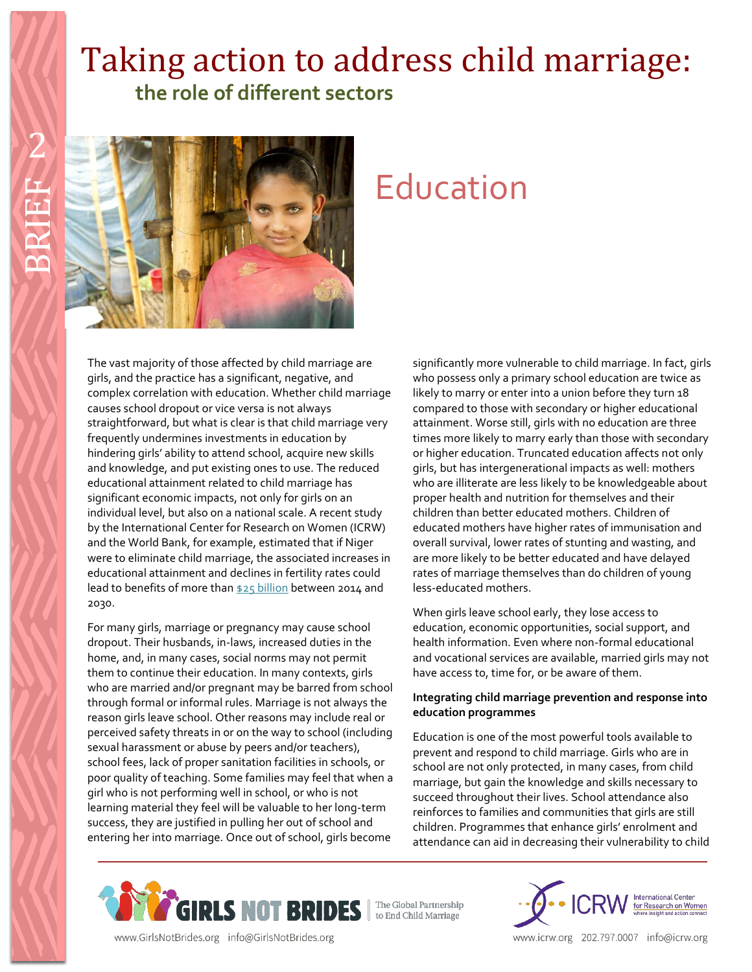## Taking action to address child marriage:  **the role of different sectors**



# Education

The vast majority of those affected by child marriage are girls, and the practice has a significant, negative, and complex correlation with education. Whether child marriage causes school dropout or vice versa is not always straightforward, but what is clear is that child marriage very frequently undermines investments in education by hindering girls' ability to attend school, acquire new skills and knowledge, and put existing ones to use. The reduced educational attainment related to child marriage has significant economic impacts, not only for girls on an individual level, but also on a national scale. A recent study by the International Center for Research on Women (ICRW) and the World Bank, for example, estimated that if Niger were to eliminate child marriage, the associated increases in educational attainment and declines in fertility rates could lead to benefits of more tha[n \\$25 billion](http://www.costsofchildmarriage.org/file/99/download?token=nhEjbcKh) between 2014 and 2030.

For many girls, marriage or pregnancy may cause school dropout. Their husbands, in-laws, increased duties in the home, and, in many cases, social norms may not permit them to continue their education. In many contexts, girls who are married and/or pregnant may be barred from school through formal or informal rules. Marriage is not always the reason girls leave school. Other reasons may include real or perceived safety threats in or on the way to school (including sexual harassment or abuse by peers and/or teachers), school fees, lack of proper sanitation facilities in schools, or poor quality of teaching. Some families may feel that when a girl who is not performing well in school, or who is not learning material they feel will be valuable to her long-term success, they are justified in pulling her out of school and entering her into marriage. Once out of school, girls become

significantly more vulnerable to child marriage. In fact, girls who possess only a primary school education are twice as likely to marry or enter into a union before they turn 18 compared to those with secondary or higher educational attainment. Worse still, girls with no education are three times more likely to marry early than those with secondary or higher education. Truncated education affects not only girls, but has intergenerational impacts as well: mothers who are illiterate are less likely to be knowledgeable about proper health and nutrition for themselves and their children than better educated mothers. Children of educated mothers have higher rates of immunisation and overall survival, lower rates of stunting and wasting, and are more likely to be better educated and have delayed rates of marriage themselves than do children of young less-educated mothers.

When girls leave school early, they lose access to education, economic opportunities, social support, and health information. Even where non-formal educational and vocational services are available, married girls may not have access to, time for, or be aware of them.

### **Integrating child marriage prevention and response into education programmes**

Education is one of the most powerful tools available to prevent and respond to child marriage. Girls who are in school are not only protected, in many cases, from child marriage, but gain the knowledge and skills necessary to succeed throughout their lives. School attendance also reinforces to families and communities that girls are still children. Programmes that enhance girls' enrolment and attendance can aid in decreasing their vulnerability to child





www.GirlsNotBrides.org info@GirlsNotBrides.org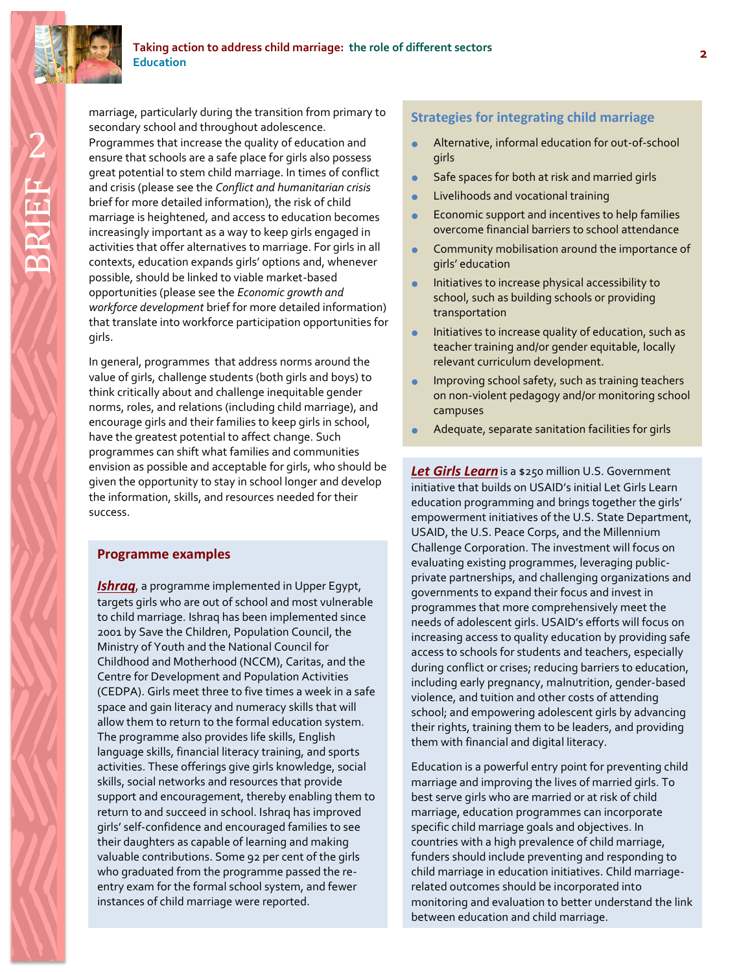

marriage, particularly during the transition from primary to<br>
secondary school and throughout adolescence.<br>
Programmes that increase the quality of education and<br>
ensure that schools are a safe place for girls also possess marriage, particularly during the transition from primary to secondary school and throughout adolescence. Programmes that increase the quality of education and great potential to stem child marriage. In times of conflict and crisis (please see the *Conflict and humanitarian crisis*  brief for more detailed information), the risk of child marriage is heightened, and access to education becomes increasingly important as a way to keep girls engaged in activities that offer alternatives to marriage. For girls in all contexts, education expands girls' options and, whenever possible, should be linked to viable market-based opportunities (please see the *Economic growth and workforce development* brief for more detailed information) that translate into workforce participation opportunities for girls.

In general, programmes that address norms around the value of girls, challenge students (both girls and boys) to think critically about and challenge inequitable gender norms, roles, and relations (including child marriage), and encourage girls and their families to keep girls in school, have the greatest potential to affect change. Such programmes can shift what families and communities envision as possible and acceptable for girls, who should be given the opportunity to stay in school longer and develop the information, skills, and resources needed for their success.

### **Programme examples**

*[Ishraq](http://www.popcouncil.org/research/ishraq-bringing-marginalized-rural-girls-into-safe-learning-spaces-in-rural)*, a programme implemented in Upper Egypt, targets girls who are out of school and most vulnerable to child marriage. Ishraq has been implemented since 2001 by Save the Children, Population Council, the Ministry of Youth and the National Council for Childhood and Motherhood (NCCM), Caritas, and the Centre for Development and Population Activities (CEDPA). Girls meet three to five times a week in a safe space and gain literacy and numeracy skills that will allow them to return to the formal education system. The programme also provides life skills, English language skills, financial literacy training, and sports activities. These offerings give girls knowledge, social skills, social networks and resources that provide support and encouragement, thereby enabling them to return to and succeed in school. Ishraq has improved girls' self-confidence and encouraged families to see their daughters as capable of learning and making valuable contributions. Some 92 per cent of the girls who graduated from the programme passed the reentry exam for the formal school system, and fewer instances of child marriage were reported.

- Alternative, informal education for out-of-school girls
- **Safe spaces for both at risk and married girls**
- **•** Livelihoods and vocational training
- **Economic support and incentives to help families** overcome financial barriers to school attendance
- Community mobilisation around the importance of girls' education
- **Initiatives to increase physical accessibility to** school, such as building schools or providing transportation
- **Initiatives to increase quality of education, such as** teacher training and/or gender equitable, locally relevant curriculum development.
- **Improving school safety, such as training teachers** on non-violent pedagogy and/or monitoring school campuses
- Adequate, separate sanitation facilities for girls

*[Let Girls Learn](https://www.whitehouse.gov/letgirlslearn)*is a \$250 million U.S. Government initiative that builds on USAID's initial Let Girls Learn education programming and brings together the girls' empowerment initiatives of the U.S. State Department, USAID, the U.S. Peace Corps, and the Millennium Challenge Corporation. The investment will focus on evaluating existing programmes, leveraging publicprivate partnerships, and challenging organizations and governments to expand their focus and invest in programmes that more comprehensively meet the needs of adolescent girls. USAID's efforts will focus on increasing access to quality education by providing safe access to schools for students and teachers, especially during conflict or crises; reducing barriers to education, including early pregnancy, malnutrition, gender-based violence, and tuition and other costs of attending school; and empowering adolescent girls by advancing their rights, training them to be leaders, and providing them with financial and digital literacy.

Education is a powerful entry point for preventing child marriage and improving the lives of married girls. To best serve girls who are married or at risk of child marriage, education programmes can incorporate specific child marriage goals and objectives. In countries with a high prevalence of child marriage, funders should include preventing and responding to child marriage in education initiatives. Child marriagerelated outcomes should be incorporated into monitoring and evaluation to better understand the link between education and child marriage.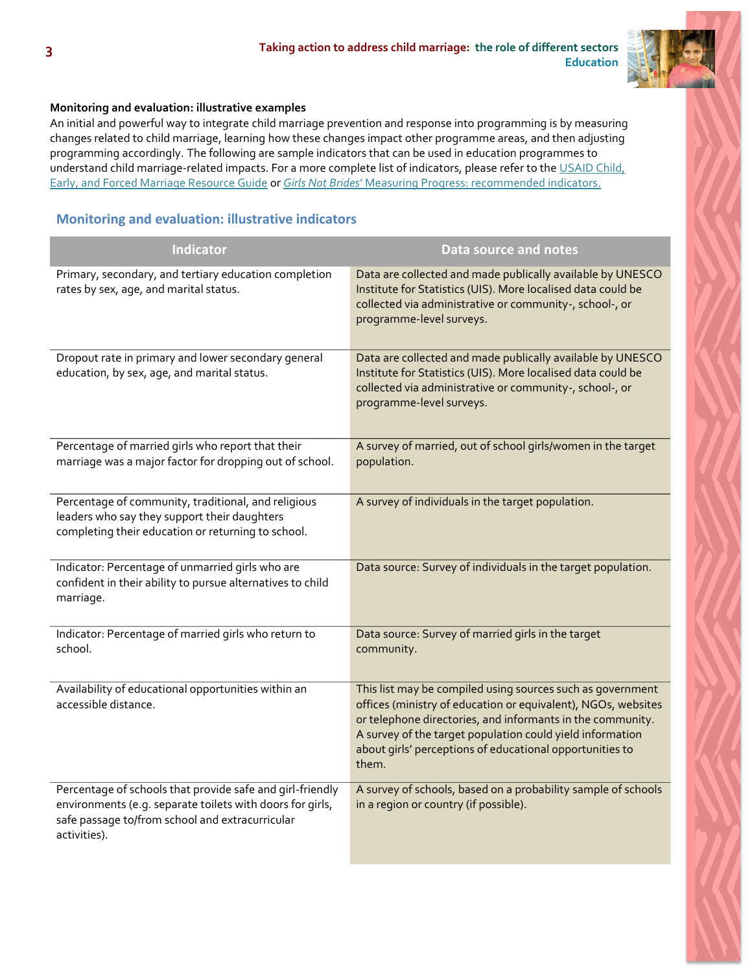

### **Monitoring and evaluation: illustrative examples**

An initial and powerful way to integrate child marriage prevention and response into programming is by measuring changes related to child marriage, learning how these changes impact other programme areas, and then adjusting programming accordingly. The following are sample indicators that can be used in education programmes to understand child marriage-related impacts. For a more complete list of indicators, please refer to the USAID Child, [Early, and Forced Marriage Resource Guide](https://www.usaid.gov/what-we-do/gender-equality-and-womens-empowerment/child-marriage) or *Girls Not Brides*[' Measuring Progress](http://www.girlsnotbrides.org/these-indicators-will-help-measure-your-progress-towards-ending-child-marriage/): recommended indicators.

### **Monitoring and evaluation: illustrative indicators**

| <b>Indicator</b>                                                                                                                                                                          | <b>Data source and notes</b>                                                                                                                                                                                                                                                                                                |
|-------------------------------------------------------------------------------------------------------------------------------------------------------------------------------------------|-----------------------------------------------------------------------------------------------------------------------------------------------------------------------------------------------------------------------------------------------------------------------------------------------------------------------------|
| Primary, secondary, and tertiary education completion<br>rates by sex, age, and marital status.                                                                                           | Data are collected and made publically available by UNESCO<br>Institute for Statistics (UIS). More localised data could be<br>collected via administrative or community-, school-, or<br>programme-level surveys.                                                                                                           |
| Dropout rate in primary and lower secondary general<br>education, by sex, age, and marital status.                                                                                        | Data are collected and made publically available by UNESCO<br>Institute for Statistics (UIS). More localised data could be<br>collected via administrative or community-, school-, or<br>programme-level surveys.                                                                                                           |
| Percentage of married girls who report that their<br>marriage was a major factor for dropping out of school.                                                                              | A survey of married, out of school girls/women in the target<br>population.                                                                                                                                                                                                                                                 |
| Percentage of community, traditional, and religious<br>leaders who say they support their daughters<br>completing their education or returning to school.                                 | A survey of individuals in the target population.                                                                                                                                                                                                                                                                           |
| Indicator: Percentage of unmarried girls who are<br>confident in their ability to pursue alternatives to child<br>marriage.                                                               | Data source: Survey of individuals in the target population.                                                                                                                                                                                                                                                                |
| Indicator: Percentage of married girls who return to<br>school.                                                                                                                           | Data source: Survey of married girls in the target<br>community.                                                                                                                                                                                                                                                            |
| Availability of educational opportunities within an<br>accessible distance.                                                                                                               | This list may be compiled using sources such as government<br>offices (ministry of education or equivalent), NGOs, websites<br>or telephone directories, and informants in the community.<br>A survey of the target population could yield information<br>about girls' perceptions of educational opportunities to<br>them. |
| Percentage of schools that provide safe and girl-friendly<br>environments (e.g. separate toilets with doors for girls,<br>safe passage to/from school and extracurricular<br>activities). | A survey of schools, based on a probability sample of schools<br>in a region or country (if possible).                                                                                                                                                                                                                      |